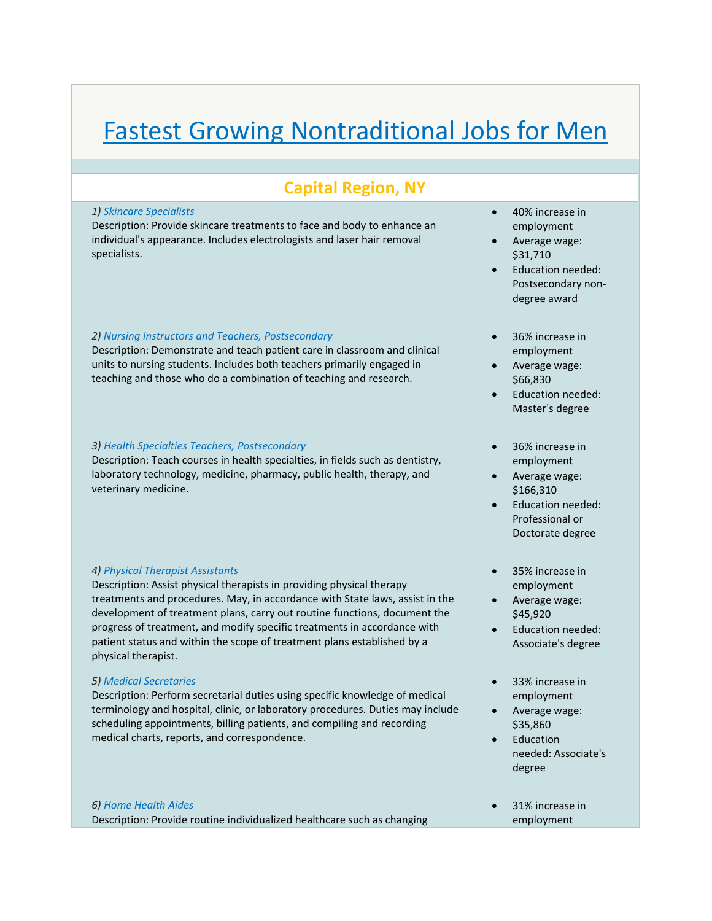# Fastest Growing Nontraditional Jobs for Men

# **Capital Region, NY**

#### *1) Skincare Specialists*

Description: Provide skincare treatments to face and body to enhance an individual's appearance. Includes electrologists and laser hair removal specialists.

# *2) Nursing Instructors and Teachers, Postsecondary*

Description: Demonstrate and teach patient care in classroom and clinical units to nursing students. Includes both teachers primarily engaged in teaching and those who do a combination of teaching and research.

#### *3) Health Specialties Teachers, Postsecondary*

Description: Teach courses in health specialties, in fields such as dentistry, laboratory technology, medicine, pharmacy, public health, therapy, and veterinary medicine.

# *4) Physical Therapist Assistants*

Description: Assist physical therapists in providing physical therapy treatments and procedures. May, in accordance with State laws, assist in the development of treatment plans, carry out routine functions, document the progress of treatment, and modify specific treatments in accordance with patient status and within the scope of treatment plans established by a physical therapist.

#### *5) Medical Secretaries*

Description: Perform secretarial duties using specific knowledge of medical terminology and hospital, clinic, or laboratory procedures. Duties may include scheduling appointments, billing patients, and compiling and recording medical charts, reports, and correspondence.

# *6) Home Health Aides* Description: Provide routine individualized healthcare such as changing

- 40% increase in employment
- Average wage: \$31,710
- Education needed: Postsecondary non‐ degree award
- 36% increase in employment
- Average wage: \$66,830
- Education needed: Master's degree
- 36% increase in employment
- Average wage: \$166,310
- Education needed: Professional or Doctorate degree
- 35% increase in employment
- Average wage: \$45,920
- Education needed: Associate's degree
- 33% increase in employment
- Average wage: \$35,860
- Education needed: Associate's degree
- 31% increase in employment